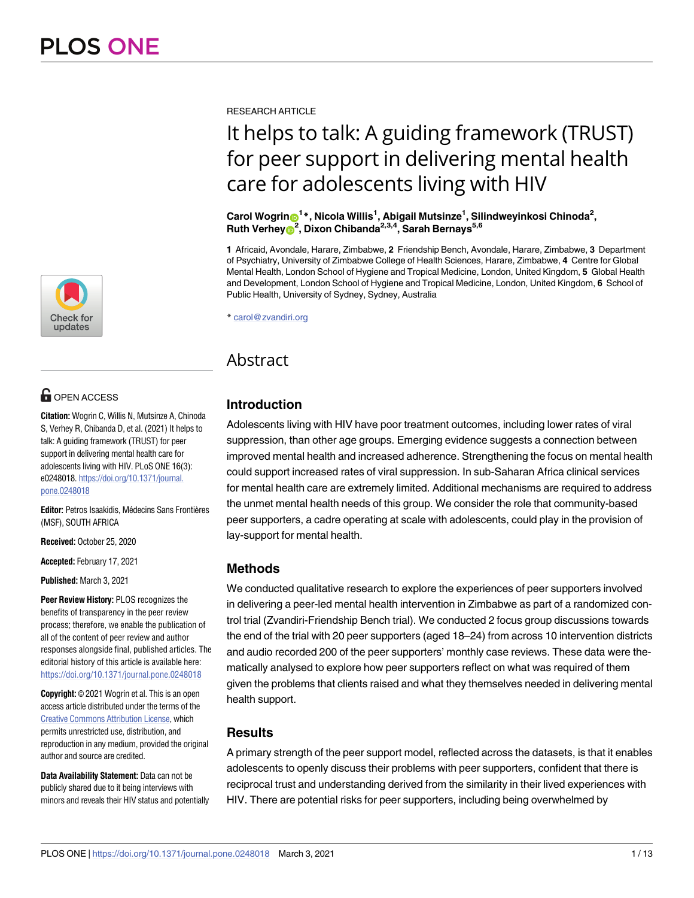

# **OPEN ACCESS**

**Citation:** Wogrin C, Willis N, Mutsinze A, Chinoda S, Verhey R, Chibanda D, et al. (2021) It helps to talk: A guiding framework (TRUST) for peer support in delivering mental health care for adolescents living with HIV. PLoS ONE 16(3): e0248018. [https://doi.org/10.1371/journal.](https://doi.org/10.1371/journal.pone.0248018) [pone.0248018](https://doi.org/10.1371/journal.pone.0248018)

**Editor:** Petros Isaakidis, Médecins Sans Frontières (MSF), SOUTH AFRICA

**Received:** October 25, 2020

**Accepted:** February 17, 2021

**Published:** March 3, 2021

**Peer Review History:** PLOS recognizes the benefits of transparency in the peer review process; therefore, we enable the publication of all of the content of peer review and author responses alongside final, published articles. The editorial history of this article is available here: <https://doi.org/10.1371/journal.pone.0248018>

**Copyright:** © 2021 Wogrin et al. This is an open access article distributed under the terms of the Creative Commons [Attribution](http://creativecommons.org/licenses/by/4.0/) License, which permits unrestricted use, distribution, and reproduction in any medium, provided the original author and source are credited.

**Data Availability Statement:** Data can not be publicly shared due to it being interviews with minors and reveals their HIV status and potentially RESEARCH ARTICLE

# It helps to talk: A guiding framework (TRUST) for peer support in delivering mental health care for adolescents living with HIV

 $\mathbf{C}$ arol Wogrin $\mathbf{\Theta}^1*$ , Nicola Willis $^1$ , Abigail Mutsinze $^1$ , Silindweyinkosi Chinoda $^2$ ,  $R$ uth Verhey<sup>2</sup>, Dixon Chibanda<sup>2,3,4</sup>, Sarah Bernays<sup>5,6</sup>

**1** Africaid, Avondale, Harare, Zimbabwe, **2** Friendship Bench, Avondale, Harare, Zimbabwe, **3** Department of Psychiatry, University of Zimbabwe College of Health Sciences, Harare, Zimbabwe, **4** Centre for Global Mental Health, London School of Hygiene and Tropical Medicine, London, United Kingdom, **5** Global Health and Development, London School of Hygiene and Tropical Medicine, London, United Kingdom, **6** School of Public Health, University of Sydney, Sydney, Australia

\* carol@zvandiri.org

# Abstract

# **Introduction**

Adolescents living with HIV have poor treatment outcomes, including lower rates of viral suppression, than other age groups. Emerging evidence suggests a connection between improved mental health and increased adherence. Strengthening the focus on mental health could support increased rates of viral suppression. In sub-Saharan Africa clinical services for mental health care are extremely limited. Additional mechanisms are required to address the unmet mental health needs of this group. We consider the role that community-based peer supporters, a cadre operating at scale with adolescents, could play in the provision of lay-support for mental health.

# **Methods**

We conducted qualitative research to explore the experiences of peer supporters involved in delivering a peer-led mental health intervention in Zimbabwe as part of a randomized control trial (Zvandiri-Friendship Bench trial). We conducted 2 focus group discussions towards the end of the trial with 20 peer supporters (aged 18–24) from across 10 intervention districts and audio recorded 200 of the peer supporters' monthly case reviews. These data were thematically analysed to explore how peer supporters reflect on what was required of them given the problems that clients raised and what they themselves needed in delivering mental health support.

# **Results**

A primary strength of the peer support model, reflected across the datasets, is that it enables adolescents to openly discuss their problems with peer supporters, confident that there is reciprocal trust and understanding derived from the similarity in their lived experiences with HIV. There are potential risks for peer supporters, including being overwhelmed by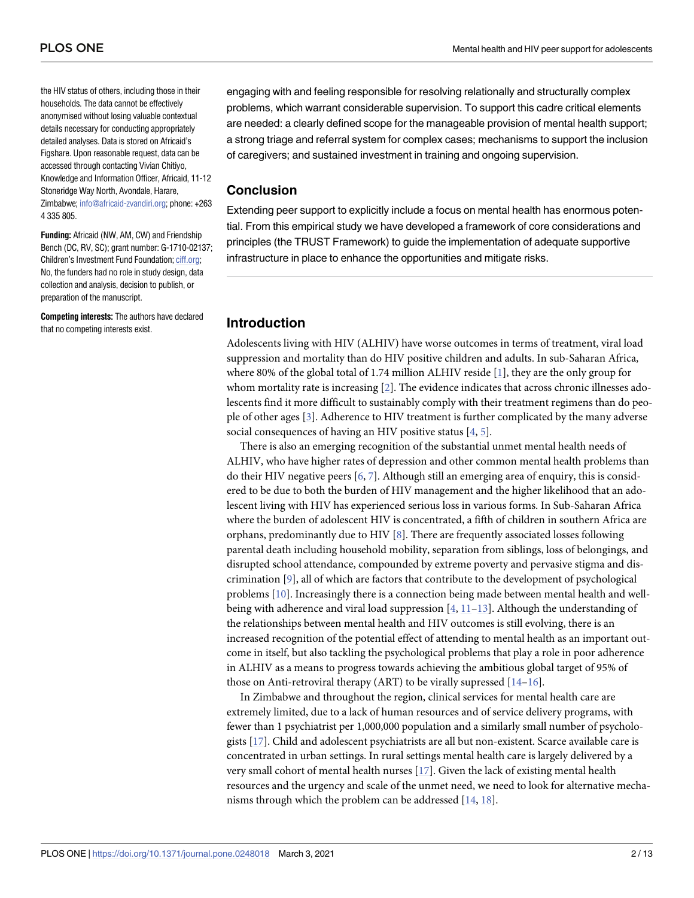<span id="page-1-0"></span>the HIV status of others, including those in their households. The data cannot be effectively anonymised without losing valuable contextual details necessary for conducting appropriately detailed analyses. Data is stored on Africaid's Figshare. Upon reasonable request, data can be accessed through contacting Vivian Chitiyo, Knowledge and Information Officer, Africaid, 11-12 Stoneridge Way North, Avondale, Harare, Zimbabwe; [info@africaid-zvandiri.org](mailto:info@africaid-zvandiri.org); phone: +263 4 335 805.

**Funding:** Africaid (NW, AM, CW) and Friendship Bench (DC, RV, SC); grant number: G-1710-02137; Children's Investment Fund Foundation; [ciff.org](http://ciff.org); No, the funders had no role in study design, data collection and analysis, decision to publish, or preparation of the manuscript.

**Competing interests:** The authors have declared that no competing interests exist.

engaging with and feeling responsible for resolving relationally and structurally complex problems, which warrant considerable supervision. To support this cadre critical elements are needed: a clearly defined scope for the manageable provision of mental health support; a strong triage and referral system for complex cases; mechanisms to support the inclusion of caregivers; and sustained investment in training and ongoing supervision.

#### **Conclusion**

Extending peer support to explicitly include a focus on mental health has enormous potential. From this empirical study we have developed a framework of core considerations and principles (the TRUST Framework) to guide the implementation of adequate supportive infrastructure in place to enhance the opportunities and mitigate risks.

### **Introduction**

Adolescents living with HIV (ALHIV) have worse outcomes in terms of treatment, viral load suppression and mortality than do HIV positive children and adults. In sub-Saharan Africa, where 80% of the global total of 1.74 million ALHIV reside [[1\]](#page-10-0), they are the only group for whom mortality rate is increasing [\[2](#page-10-0)]. The evidence indicates that across chronic illnesses adolescents find it more difficult to sustainably comply with their treatment regimens than do people of other ages [\[3\]](#page-10-0). Adherence to HIV treatment is further complicated by the many adverse social consequences of having an HIV positive status [[4](#page-10-0), [5\]](#page-10-0).

There is also an emerging recognition of the substantial unmet mental health needs of ALHIV, who have higher rates of depression and other common mental health problems than do their HIV negative peers [[6,](#page-11-0) [7\]](#page-11-0). Although still an emerging area of enquiry, this is considered to be due to both the burden of HIV management and the higher likelihood that an adolescent living with HIV has experienced serious loss in various forms. In Sub-Saharan Africa where the burden of adolescent HIV is concentrated, a fifth of children in southern Africa are orphans, predominantly due to HIV  $[8]$  $[8]$ . There are frequently associated losses following parental death including household mobility, separation from siblings, loss of belongings, and disrupted school attendance, compounded by extreme poverty and pervasive stigma and discrimination [\[9\]](#page-11-0), all of which are factors that contribute to the development of psychological problems [\[10\]](#page-11-0). Increasingly there is a connection being made between mental health and wellbeing with adherence and viral load suppression [\[4](#page-10-0), [11–13\]](#page-11-0). Although the understanding of the relationships between mental health and HIV outcomes is still evolving, there is an increased recognition of the potential effect of attending to mental health as an important outcome in itself, but also tackling the psychological problems that play a role in poor adherence in ALHIV as a means to progress towards achieving the ambitious global target of 95% of those on Anti-retroviral therapy (ART) to be virally supressed [[14](#page-11-0)–[16](#page-11-0)].

In Zimbabwe and throughout the region, clinical services for mental health care are extremely limited, due to a lack of human resources and of service delivery programs, with fewer than 1 psychiatrist per 1,000,000 population and a similarly small number of psychologists [\[17\]](#page-11-0). Child and adolescent psychiatrists are all but non-existent. Scarce available care is concentrated in urban settings. In rural settings mental health care is largely delivered by a very small cohort of mental health nurses [\[17\]](#page-11-0). Given the lack of existing mental health resources and the urgency and scale of the unmet need, we need to look for alternative mechanisms through which the problem can be addressed [\[14,](#page-11-0) [18\]](#page-11-0).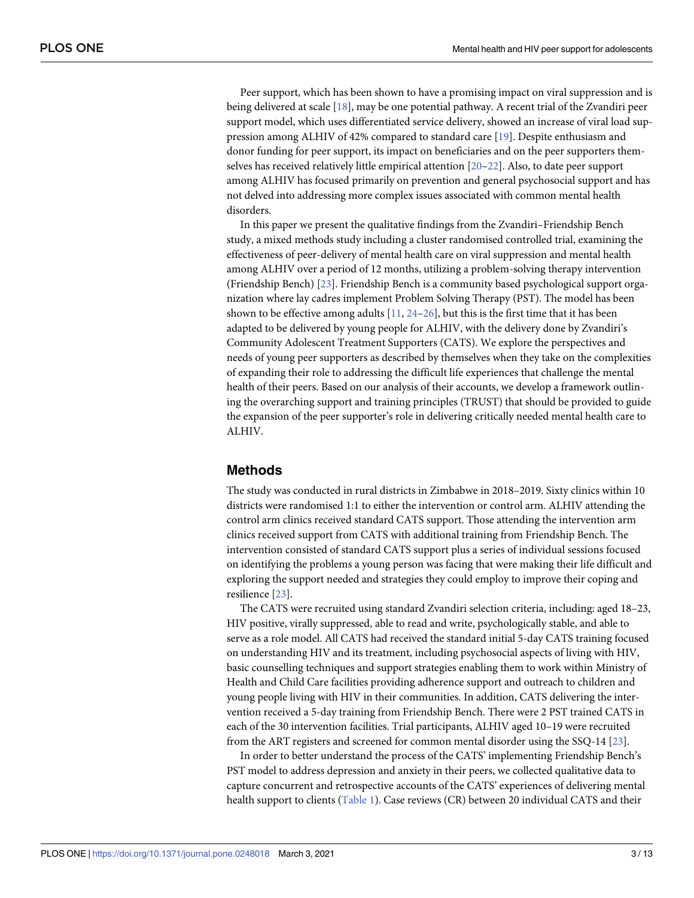<span id="page-2-0"></span>Peer support, which has been shown to have a promising impact on viral suppression and is being delivered at scale [\[18\]](#page-11-0), may be one potential pathway. A recent trial of the Zvandiri peer support model, which uses differentiated service delivery, showed an increase of viral load suppression among ALHIV of 42% compared to standard care [[19](#page-11-0)]. Despite enthusiasm and donor funding for peer support, its impact on beneficiaries and on the peer supporters themselves has received relatively little empirical attention [[20–22\]](#page-11-0). Also, to date peer support among ALHIV has focused primarily on prevention and general psychosocial support and has not delved into addressing more complex issues associated with common mental health disorders.

In this paper we present the qualitative findings from the Zvandiri–Friendship Bench study, a mixed methods study including a cluster randomised controlled trial, examining the effectiveness of peer-delivery of mental health care on viral suppression and mental health among ALHIV over a period of 12 months, utilizing a problem-solving therapy intervention (Friendship Bench) [\[23\]](#page-11-0). Friendship Bench is a community based psychological support organization where lay cadres implement Problem Solving Therapy (PST). The model has been shown to be effective among adults  $[11, 24-26]$  $[11, 24-26]$  $[11, 24-26]$  $[11, 24-26]$  $[11, 24-26]$ , but this is the first time that it has been adapted to be delivered by young people for ALHIV, with the delivery done by Zvandiri's Community Adolescent Treatment Supporters (CATS). We explore the perspectives and needs of young peer supporters as described by themselves when they take on the complexities of expanding their role to addressing the difficult life experiences that challenge the mental health of their peers. Based on our analysis of their accounts, we develop a framework outlining the overarching support and training principles (TRUST) that should be provided to guide the expansion of the peer supporter's role in delivering critically needed mental health care to ALHIV.

#### **Methods**

The study was conducted in rural districts in Zimbabwe in 2018–2019. Sixty clinics within 10 districts were randomised 1:1 to either the intervention or control arm. ALHIV attending the control arm clinics received standard CATS support. Those attending the intervention arm clinics received support from CATS with additional training from Friendship Bench. The intervention consisted of standard CATS support plus a series of individual sessions focused on identifying the problems a young person was facing that were making their life difficult and exploring the support needed and strategies they could employ to improve their coping and resilience [\[23\]](#page-11-0).

The CATS were recruited using standard Zvandiri selection criteria, including: aged 18–23, HIV positive, virally suppressed, able to read and write, psychologically stable, and able to serve as a role model. All CATS had received the standard initial 5-day CATS training focused on understanding HIV and its treatment, including psychosocial aspects of living with HIV, basic counselling techniques and support strategies enabling them to work within Ministry of Health and Child Care facilities providing adherence support and outreach to children and young people living with HIV in their communities. In addition, CATS delivering the intervention received a 5-day training from Friendship Bench. There were 2 PST trained CATS in each of the 30 intervention facilities. Trial participants, ALHIV aged 10–19 were recruited from the ART registers and screened for common mental disorder using the SSQ-14 [\[23\]](#page-11-0).

In order to better understand the process of the CATS' implementing Friendship Bench's PST model to address depression and anxiety in their peers, we collected qualitative data to capture concurrent and retrospective accounts of the CATS' experiences of delivering mental health support to clients [\(Table](#page-3-0) 1). Case reviews (CR) between 20 individual CATS and their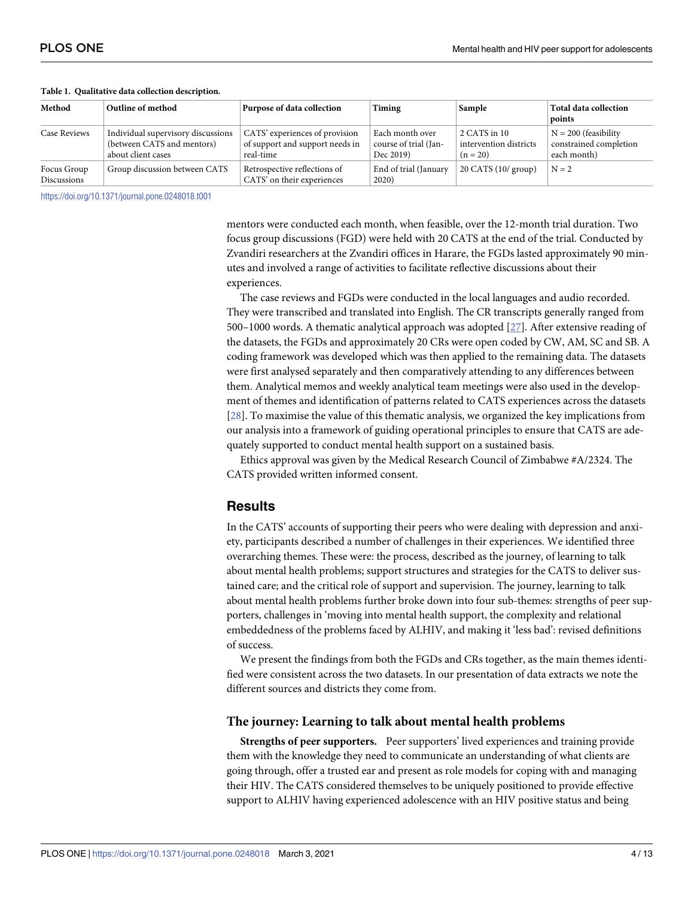| Method                            | Outline of method                                                                      | Purpose of data collection                                                     | Timing                                                | Sample                                               | <b>Total data collection</b><br>points                          |
|-----------------------------------|----------------------------------------------------------------------------------------|--------------------------------------------------------------------------------|-------------------------------------------------------|------------------------------------------------------|-----------------------------------------------------------------|
| <b>Case Reviews</b>               | Individual supervisory discussions<br>(between CATS and mentors)<br>about client cases | CATS' experiences of provision<br>of support and support needs in<br>real-time | Each month over<br>course of trial (Jan-<br>Dec 2019) | 2 CATS in 10<br>intervention districts<br>$(n = 20)$ | $N = 200$ (feasibility<br>constrained completion<br>each month) |
| Focus Group<br><b>Discussions</b> | Group discussion between CATS                                                          | Retrospective reflections of<br>CATS' on their experiences                     | End of trial (January<br>2020)                        | $20$ CATS $(10/$ group)                              | $N = 2$                                                         |

#### <span id="page-3-0"></span>**[Table](#page-2-0) 1. Qualitative data collection description.**

<https://doi.org/10.1371/journal.pone.0248018.t001>

mentors were conducted each month, when feasible, over the 12-month trial duration. Two focus group discussions (FGD) were held with 20 CATS at the end of the trial. Conducted by Zvandiri researchers at the Zvandiri offices in Harare, the FGDs lasted approximately 90 minutes and involved a range of activities to facilitate reflective discussions about their experiences.

The case reviews and FGDs were conducted in the local languages and audio recorded. They were transcribed and translated into English. The CR transcripts generally ranged from 500–1000 words. A thematic analytical approach was adopted [\[27\]](#page-12-0). After extensive reading of the datasets, the FGDs and approximately 20 CRs were open coded by CW, AM, SC and SB. A coding framework was developed which was then applied to the remaining data. The datasets were first analysed separately and then comparatively attending to any differences between them. Analytical memos and weekly analytical team meetings were also used in the development of themes and identification of patterns related to CATS experiences across the datasets [\[28\]](#page-12-0). To maximise the value of this thematic analysis, we organized the key implications from our analysis into a framework of guiding operational principles to ensure that CATS are adequately supported to conduct mental health support on a sustained basis.

Ethics approval was given by the Medical Research Council of Zimbabwe #A/2324. The CATS provided written informed consent.

#### **Results**

In the CATS' accounts of supporting their peers who were dealing with depression and anxiety, participants described a number of challenges in their experiences. We identified three overarching themes. These were: the process, described as the journey, of learning to talk about mental health problems; support structures and strategies for the CATS to deliver sustained care; and the critical role of support and supervision. The journey, learning to talk about mental health problems further broke down into four sub-themes: strengths of peer supporters, challenges in 'moving into mental health support, the complexity and relational embeddedness of the problems faced by ALHIV, and making it 'less bad': revised definitions of success.

We present the findings from both the FGDs and CRs together, as the main themes identified were consistent across the two datasets. In our presentation of data extracts we note the different sources and districts they come from.

#### **The journey: Learning to talk about mental health problems**

**Strengths of peer supporters.** Peer supporters' lived experiences and training provide them with the knowledge they need to communicate an understanding of what clients are going through, offer a trusted ear and present as role models for coping with and managing their HIV. The CATS considered themselves to be uniquely positioned to provide effective support to ALHIV having experienced adolescence with an HIV positive status and being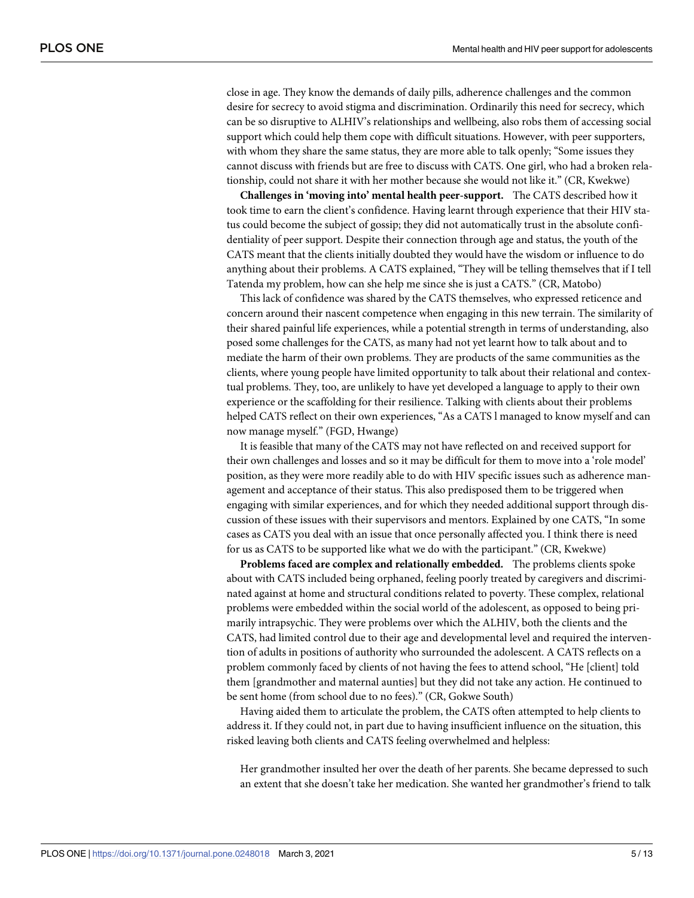close in age. They know the demands of daily pills, adherence challenges and the common desire for secrecy to avoid stigma and discrimination. Ordinarily this need for secrecy, which can be so disruptive to ALHIV's relationships and wellbeing, also robs them of accessing social support which could help them cope with difficult situations. However, with peer supporters, with whom they share the same status, they are more able to talk openly; "Some issues they cannot discuss with friends but are free to discuss with CATS. One girl, who had a broken relationship, could not share it with her mother because she would not like it." (CR, Kwekwe)

**Challenges in 'moving into' mental health peer-support.** The CATS described how it took time to earn the client's confidence. Having learnt through experience that their HIV status could become the subject of gossip; they did not automatically trust in the absolute confidentiality of peer support. Despite their connection through age and status, the youth of the CATS meant that the clients initially doubted they would have the wisdom or influence to do anything about their problems. A CATS explained, "They will be telling themselves that if I tell Tatenda my problem, how can she help me since she is just a CATS." (CR, Matobo)

This lack of confidence was shared by the CATS themselves, who expressed reticence and concern around their nascent competence when engaging in this new terrain. The similarity of their shared painful life experiences, while a potential strength in terms of understanding, also posed some challenges for the CATS, as many had not yet learnt how to talk about and to mediate the harm of their own problems. They are products of the same communities as the clients, where young people have limited opportunity to talk about their relational and contextual problems. They, too, are unlikely to have yet developed a language to apply to their own experience or the scaffolding for their resilience. Talking with clients about their problems helped CATS reflect on their own experiences, "As a CATS l managed to know myself and can now manage myself." (FGD, Hwange)

It is feasible that many of the CATS may not have reflected on and received support for their own challenges and losses and so it may be difficult for them to move into a 'role model' position, as they were more readily able to do with HIV specific issues such as adherence management and acceptance of their status. This also predisposed them to be triggered when engaging with similar experiences, and for which they needed additional support through discussion of these issues with their supervisors and mentors. Explained by one CATS, "In some cases as CATS you deal with an issue that once personally affected you. I think there is need for us as CATS to be supported like what we do with the participant." (CR, Kwekwe)

**Problems faced are complex and relationally embedded.** The problems clients spoke about with CATS included being orphaned, feeling poorly treated by caregivers and discriminated against at home and structural conditions related to poverty. These complex, relational problems were embedded within the social world of the adolescent, as opposed to being primarily intrapsychic. They were problems over which the ALHIV, both the clients and the CATS, had limited control due to their age and developmental level and required the intervention of adults in positions of authority who surrounded the adolescent. A CATS reflects on a problem commonly faced by clients of not having the fees to attend school, "He [client] told them [grandmother and maternal aunties] but they did not take any action. He continued to be sent home (from school due to no fees)." (CR, Gokwe South)

Having aided them to articulate the problem, the CATS often attempted to help clients to address it. If they could not, in part due to having insufficient influence on the situation, this risked leaving both clients and CATS feeling overwhelmed and helpless:

Her grandmother insulted her over the death of her parents. She became depressed to such an extent that she doesn't take her medication. She wanted her grandmother's friend to talk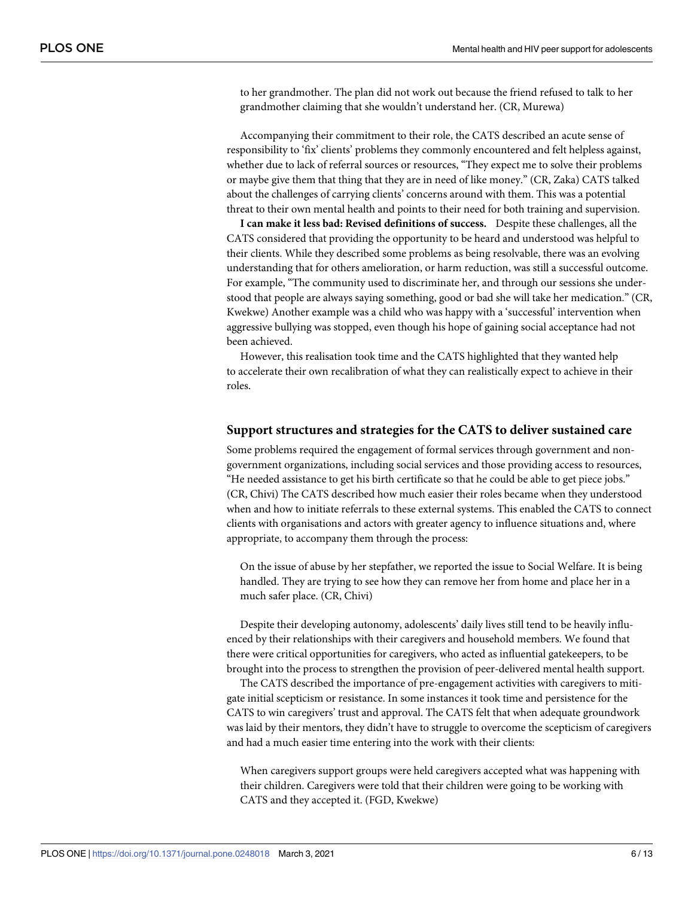to her grandmother. The plan did not work out because the friend refused to talk to her grandmother claiming that she wouldn't understand her. (CR, Murewa)

Accompanying their commitment to their role, the CATS described an acute sense of responsibility to 'fix' clients' problems they commonly encountered and felt helpless against, whether due to lack of referral sources or resources, "They expect me to solve their problems or maybe give them that thing that they are in need of like money." (CR, Zaka) CATS talked about the challenges of carrying clients' concerns around with them. This was a potential threat to their own mental health and points to their need for both training and supervision.

**I can make it less bad: Revised definitions of success.** Despite these challenges, all the CATS considered that providing the opportunity to be heard and understood was helpful to their clients. While they described some problems as being resolvable, there was an evolving understanding that for others amelioration, or harm reduction, was still a successful outcome. For example, "The community used to discriminate her, and through our sessions she understood that people are always saying something, good or bad she will take her medication." (CR, Kwekwe) Another example was a child who was happy with a 'successful' intervention when aggressive bullying was stopped, even though his hope of gaining social acceptance had not been achieved.

However, this realisation took time and the CATS highlighted that they wanted help to accelerate their own recalibration of what they can realistically expect to achieve in their roles.

#### **Support structures and strategies for the CATS to deliver sustained care**

Some problems required the engagement of formal services through government and nongovernment organizations, including social services and those providing access to resources, "He needed assistance to get his birth certificate so that he could be able to get piece jobs." (CR, Chivi) The CATS described how much easier their roles became when they understood when and how to initiate referrals to these external systems. This enabled the CATS to connect clients with organisations and actors with greater agency to influence situations and, where appropriate, to accompany them through the process:

On the issue of abuse by her stepfather, we reported the issue to Social Welfare. It is being handled. They are trying to see how they can remove her from home and place her in a much safer place. (CR, Chivi)

Despite their developing autonomy, adolescents' daily lives still tend to be heavily influenced by their relationships with their caregivers and household members. We found that there were critical opportunities for caregivers, who acted as influential gatekeepers, to be brought into the process to strengthen the provision of peer-delivered mental health support.

The CATS described the importance of pre-engagement activities with caregivers to mitigate initial scepticism or resistance. In some instances it took time and persistence for the CATS to win caregivers' trust and approval. The CATS felt that when adequate groundwork was laid by their mentors, they didn't have to struggle to overcome the scepticism of caregivers and had a much easier time entering into the work with their clients:

When caregivers support groups were held caregivers accepted what was happening with their children. Caregivers were told that their children were going to be working with CATS and they accepted it. (FGD, Kwekwe)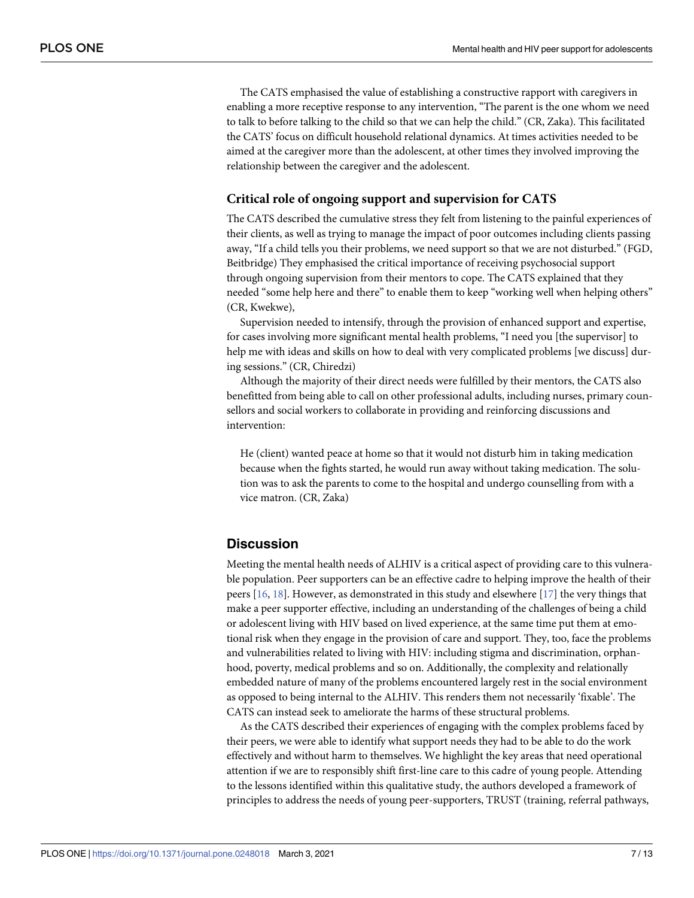The CATS emphasised the value of establishing a constructive rapport with caregivers in enabling a more receptive response to any intervention, "The parent is the one whom we need to talk to before talking to the child so that we can help the child." (CR, Zaka). This facilitated the CATS' focus on difficult household relational dynamics. At times activities needed to be aimed at the caregiver more than the adolescent, at other times they involved improving the relationship between the caregiver and the adolescent.

#### **Critical role of ongoing support and supervision for CATS**

The CATS described the cumulative stress they felt from listening to the painful experiences of their clients, as well as trying to manage the impact of poor outcomes including clients passing away, "If a child tells you their problems, we need support so that we are not disturbed." (FGD, Beitbridge) They emphasised the critical importance of receiving psychosocial support through ongoing supervision from their mentors to cope. The CATS explained that they needed "some help here and there" to enable them to keep "working well when helping others" (CR, Kwekwe),

Supervision needed to intensify, through the provision of enhanced support and expertise, for cases involving more significant mental health problems, "I need you [the supervisor] to help me with ideas and skills on how to deal with very complicated problems [we discuss] during sessions." (CR, Chiredzi)

Although the majority of their direct needs were fulfilled by their mentors, the CATS also benefitted from being able to call on other professional adults, including nurses, primary counsellors and social workers to collaborate in providing and reinforcing discussions and intervention:

He (client) wanted peace at home so that it would not disturb him in taking medication because when the fights started, he would run away without taking medication. The solution was to ask the parents to come to the hospital and undergo counselling from with a vice matron. (CR, Zaka)

#### **Discussion**

Meeting the mental health needs of ALHIV is a critical aspect of providing care to this vulnerable population. Peer supporters can be an effective cadre to helping improve the health of their peers [[16](#page-11-0), [18](#page-11-0)]. However, as demonstrated in this study and elsewhere [\[17\]](#page-11-0) the very things that make a peer supporter effective, including an understanding of the challenges of being a child or adolescent living with HIV based on lived experience, at the same time put them at emotional risk when they engage in the provision of care and support. They, too, face the problems and vulnerabilities related to living with HIV: including stigma and discrimination, orphanhood, poverty, medical problems and so on. Additionally, the complexity and relationally embedded nature of many of the problems encountered largely rest in the social environment as opposed to being internal to the ALHIV. This renders them not necessarily 'fixable'. The CATS can instead seek to ameliorate the harms of these structural problems.

As the CATS described their experiences of engaging with the complex problems faced by their peers, we were able to identify what support needs they had to be able to do the work effectively and without harm to themselves. We highlight the key areas that need operational attention if we are to responsibly shift first-line care to this cadre of young people. Attending to the lessons identified within this qualitative study, the authors developed a framework of principles to address the needs of young peer-supporters, TRUST (training, referral pathways,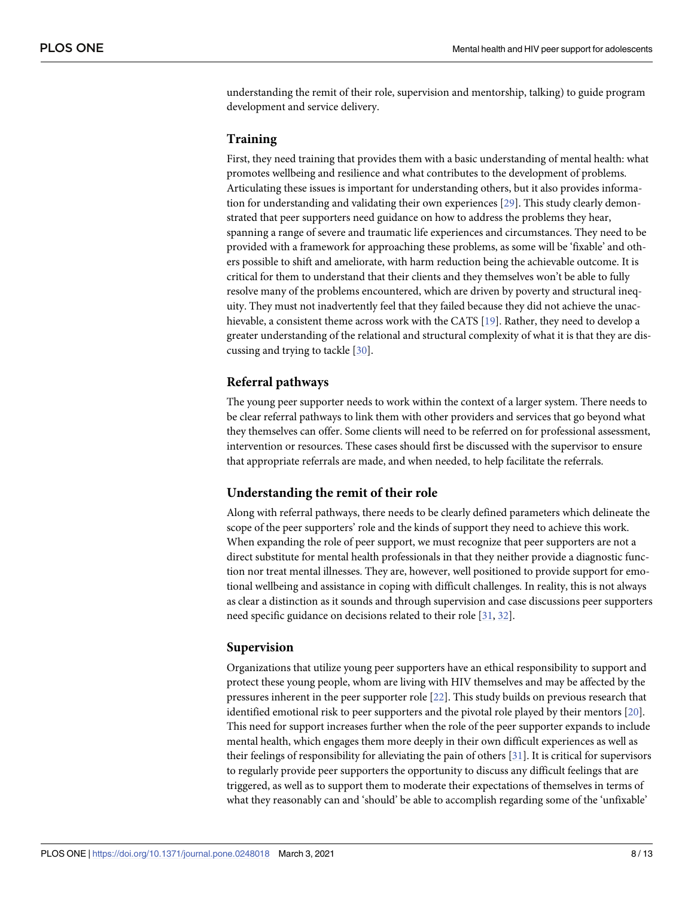<span id="page-7-0"></span>understanding the remit of their role, supervision and mentorship, talking) to guide program development and service delivery.

#### **Training**

First, they need training that provides them with a basic understanding of mental health: what promotes wellbeing and resilience and what contributes to the development of problems. Articulating these issues is important for understanding others, but it also provides information for understanding and validating their own experiences [[29](#page-12-0)]. This study clearly demonstrated that peer supporters need guidance on how to address the problems they hear, spanning a range of severe and traumatic life experiences and circumstances. They need to be provided with a framework for approaching these problems, as some will be 'fixable' and others possible to shift and ameliorate, with harm reduction being the achievable outcome. It is critical for them to understand that their clients and they themselves won't be able to fully resolve many of the problems encountered, which are driven by poverty and structural inequity. They must not inadvertently feel that they failed because they did not achieve the unachievable, a consistent theme across work with the CATS [[19](#page-11-0)]. Rather, they need to develop a greater understanding of the relational and structural complexity of what it is that they are discussing and trying to tackle [\[30\]](#page-12-0).

#### **Referral pathways**

The young peer supporter needs to work within the context of a larger system. There needs to be clear referral pathways to link them with other providers and services that go beyond what they themselves can offer. Some clients will need to be referred on for professional assessment, intervention or resources. These cases should first be discussed with the supervisor to ensure that appropriate referrals are made, and when needed, to help facilitate the referrals.

#### **Understanding the remit of their role**

Along with referral pathways, there needs to be clearly defined parameters which delineate the scope of the peer supporters' role and the kinds of support they need to achieve this work. When expanding the role of peer support, we must recognize that peer supporters are not a direct substitute for mental health professionals in that they neither provide a diagnostic function nor treat mental illnesses. They are, however, well positioned to provide support for emotional wellbeing and assistance in coping with difficult challenges. In reality, this is not always as clear a distinction as it sounds and through supervision and case discussions peer supporters need specific guidance on decisions related to their role [\[31,](#page-12-0) [32\]](#page-12-0).

#### **Supervision**

Organizations that utilize young peer supporters have an ethical responsibility to support and protect these young people, whom are living with HIV themselves and may be affected by the pressures inherent in the peer supporter role [[22\]](#page-11-0). This study builds on previous research that identified emotional risk to peer supporters and the pivotal role played by their mentors [\[20\]](#page-11-0). This need for support increases further when the role of the peer supporter expands to include mental health, which engages them more deeply in their own difficult experiences as well as their feelings of responsibility for alleviating the pain of others [[31](#page-12-0)]. It is critical for supervisors to regularly provide peer supporters the opportunity to discuss any difficult feelings that are triggered, as well as to support them to moderate their expectations of themselves in terms of what they reasonably can and 'should' be able to accomplish regarding some of the 'unfixable'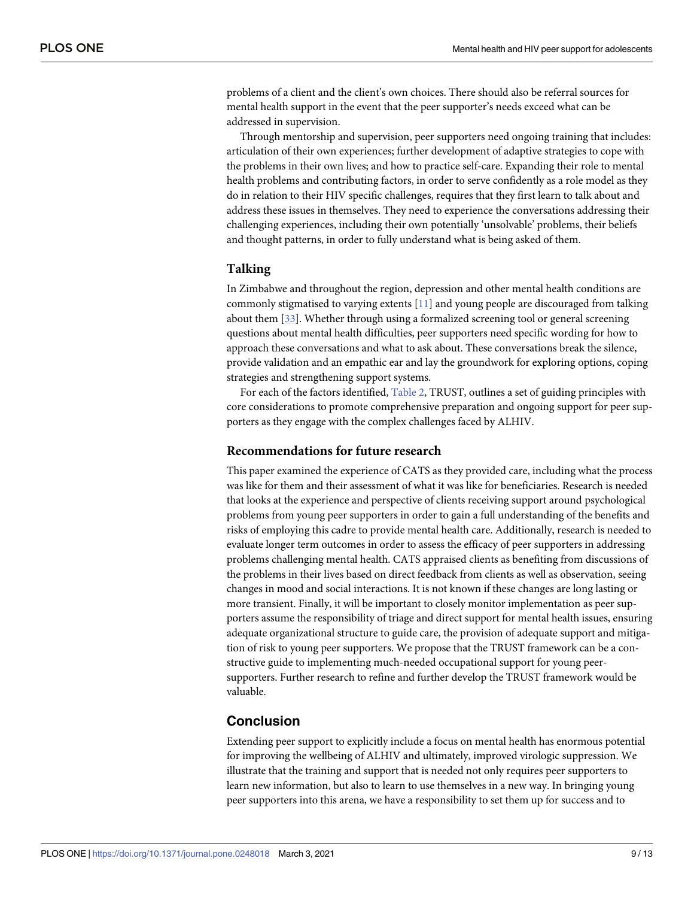<span id="page-8-0"></span>problems of a client and the client's own choices. There should also be referral sources for mental health support in the event that the peer supporter's needs exceed what can be addressed in supervision.

Through mentorship and supervision, peer supporters need ongoing training that includes: articulation of their own experiences; further development of adaptive strategies to cope with the problems in their own lives; and how to practice self-care. Expanding their role to mental health problems and contributing factors, in order to serve confidently as a role model as they do in relation to their HIV specific challenges, requires that they first learn to talk about and address these issues in themselves. They need to experience the conversations addressing their challenging experiences, including their own potentially 'unsolvable' problems, their beliefs and thought patterns, in order to fully understand what is being asked of them.

#### **Talking**

In Zimbabwe and throughout the region, depression and other mental health conditions are commonly stigmatised to varying extents [\[11\]](#page-11-0) and young people are discouraged from talking about them [\[33\]](#page-12-0). Whether through using a formalized screening tool or general screening questions about mental health difficulties, peer supporters need specific wording for how to approach these conversations and what to ask about. These conversations break the silence, provide validation and an empathic ear and lay the groundwork for exploring options, coping strategies and strengthening support systems.

For each of the factors identified, [Table](#page-9-0) 2, TRUST, outlines a set of guiding principles with core considerations to promote comprehensive preparation and ongoing support for peer supporters as they engage with the complex challenges faced by ALHIV.

#### **Recommendations for future research**

This paper examined the experience of CATS as they provided care, including what the process was like for them and their assessment of what it was like for beneficiaries. Research is needed that looks at the experience and perspective of clients receiving support around psychological problems from young peer supporters in order to gain a full understanding of the benefits and risks of employing this cadre to provide mental health care. Additionally, research is needed to evaluate longer term outcomes in order to assess the efficacy of peer supporters in addressing problems challenging mental health. CATS appraised clients as benefiting from discussions of the problems in their lives based on direct feedback from clients as well as observation, seeing changes in mood and social interactions. It is not known if these changes are long lasting or more transient. Finally, it will be important to closely monitor implementation as peer supporters assume the responsibility of triage and direct support for mental health issues, ensuring adequate organizational structure to guide care, the provision of adequate support and mitigation of risk to young peer supporters. We propose that the TRUST framework can be a constructive guide to implementing much-needed occupational support for young peersupporters. Further research to refine and further develop the TRUST framework would be valuable.

## **Conclusion**

Extending peer support to explicitly include a focus on mental health has enormous potential for improving the wellbeing of ALHIV and ultimately, improved virologic suppression. We illustrate that the training and support that is needed not only requires peer supporters to learn new information, but also to learn to use themselves in a new way. In bringing young peer supporters into this arena, we have a responsibility to set them up for success and to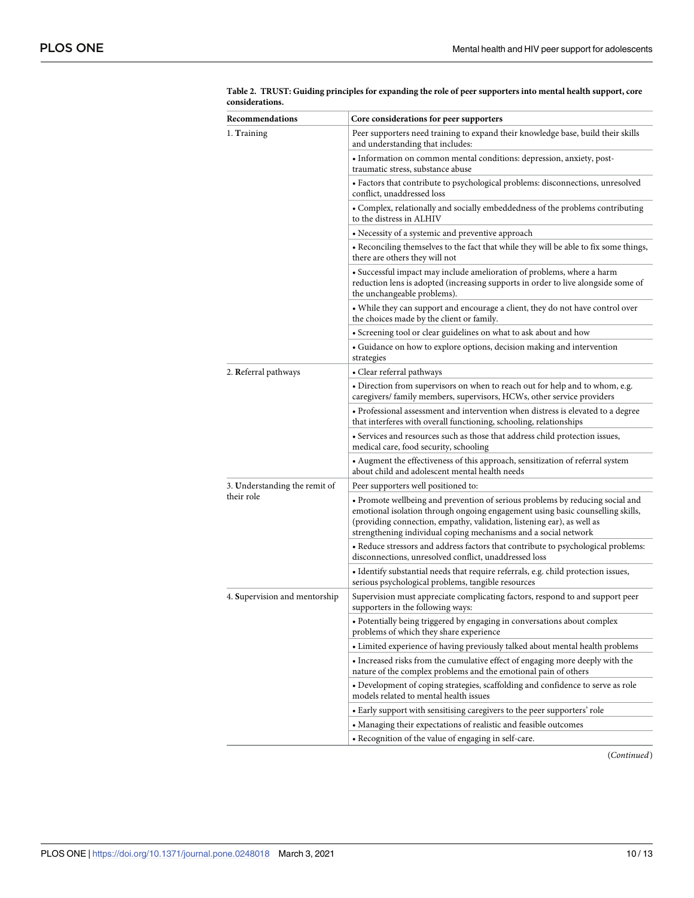<span id="page-9-0"></span>

| Recommendations               | Core considerations for peer supporters                                                                                                                                                                                                                                                                      |  |  |
|-------------------------------|--------------------------------------------------------------------------------------------------------------------------------------------------------------------------------------------------------------------------------------------------------------------------------------------------------------|--|--|
| 1. Training                   | Peer supporters need training to expand their knowledge base, build their skills<br>and understanding that includes:                                                                                                                                                                                         |  |  |
|                               | • Information on common mental conditions: depression, anxiety, post-<br>traumatic stress, substance abuse                                                                                                                                                                                                   |  |  |
|                               | • Factors that contribute to psychological problems: disconnections, unresolved<br>conflict, unaddressed loss                                                                                                                                                                                                |  |  |
|                               | • Complex, relationally and socially embeddedness of the problems contributing<br>to the distress in ALHIV                                                                                                                                                                                                   |  |  |
|                               | • Necessity of a systemic and preventive approach                                                                                                                                                                                                                                                            |  |  |
|                               | • Reconciling themselves to the fact that while they will be able to fix some things,<br>there are others they will not                                                                                                                                                                                      |  |  |
|                               | • Successful impact may include amelioration of problems, where a harm<br>reduction lens is adopted (increasing supports in order to live alongside some of<br>the unchangeable problems).                                                                                                                   |  |  |
|                               | • While they can support and encourage a client, they do not have control over<br>the choices made by the client or family.                                                                                                                                                                                  |  |  |
|                               | • Screening tool or clear guidelines on what to ask about and how                                                                                                                                                                                                                                            |  |  |
|                               | • Guidance on how to explore options, decision making and intervention<br>strategies                                                                                                                                                                                                                         |  |  |
| 2. Referral pathways          | • Clear referral pathways                                                                                                                                                                                                                                                                                    |  |  |
|                               | · Direction from supervisors on when to reach out for help and to whom, e.g.<br>caregivers/ family members, supervisors, HCWs, other service providers                                                                                                                                                       |  |  |
|                               | • Professional assessment and intervention when distress is elevated to a degree<br>that interferes with overall functioning, schooling, relationships                                                                                                                                                       |  |  |
|                               | • Services and resources such as those that address child protection issues,<br>medical care, food security, schooling                                                                                                                                                                                       |  |  |
|                               | • Augment the effectiveness of this approach, sensitization of referral system<br>about child and adolescent mental health needs                                                                                                                                                                             |  |  |
| 3. Understanding the remit of | Peer supporters well positioned to:                                                                                                                                                                                                                                                                          |  |  |
| their role                    | • Promote wellbeing and prevention of serious problems by reducing social and<br>emotional isolation through ongoing engagement using basic counselling skills,<br>(providing connection, empathy, validation, listening ear), as well as<br>strengthening individual coping mechanisms and a social network |  |  |
|                               | • Reduce stressors and address factors that contribute to psychological problems:<br>disconnections, unresolved conflict, unaddressed loss                                                                                                                                                                   |  |  |
|                               | • Identify substantial needs that require referrals, e.g. child protection issues,<br>serious psychological problems, tangible resources                                                                                                                                                                     |  |  |
| 4. Supervision and mentorship | Supervision must appreciate complicating factors, respond to and support peer<br>supporters in the following ways:                                                                                                                                                                                           |  |  |
|                               | • Potentially being triggered by engaging in conversations about complex<br>problems of which they share experience                                                                                                                                                                                          |  |  |
|                               | • Limited experience of having previously talked about mental health problems                                                                                                                                                                                                                                |  |  |
|                               | • Increased risks from the cumulative effect of engaging more deeply with the<br>nature of the complex problems and the emotional pain of others                                                                                                                                                             |  |  |
|                               | • Development of coping strategies, scaffolding and confidence to serve as role<br>models related to mental health issues                                                                                                                                                                                    |  |  |
|                               | • Early support with sensitising caregivers to the peer supporters' role                                                                                                                                                                                                                                     |  |  |
|                               | • Managing their expectations of realistic and feasible outcomes                                                                                                                                                                                                                                             |  |  |
|                               | • Recognition of the value of engaging in self-care.                                                                                                                                                                                                                                                         |  |  |

[Table](#page-8-0) 2. TRUST: Guiding principles for expanding the role of peer supporters into mental health support, core **considerations.**

(*Continued*)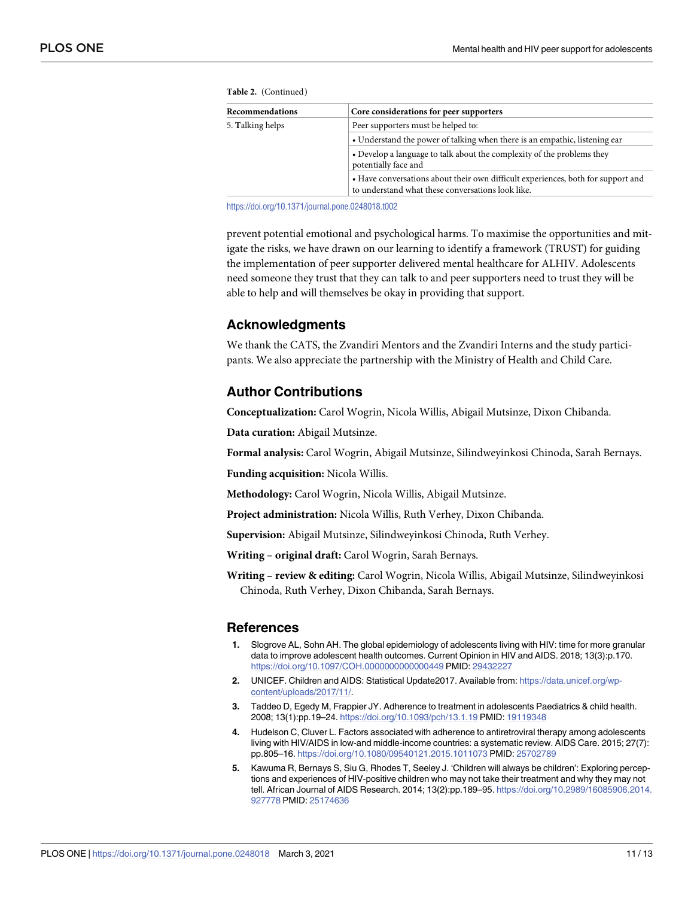| Recommendations  | Core considerations for peer supporters                                                                                               |  |  |
|------------------|---------------------------------------------------------------------------------------------------------------------------------------|--|--|
| 5. Talking helps | Peer supporters must be helped to:                                                                                                    |  |  |
|                  | • Understand the power of talking when there is an empathic, listening ear                                                            |  |  |
|                  | • Develop a language to talk about the complexity of the problems they<br>potentially face and                                        |  |  |
|                  | • Have conversations about their own difficult experiences, both for support and<br>to understand what these conversations look like. |  |  |

<span id="page-10-0"></span>**Table 2.** (Continued)

<https://doi.org/10.1371/journal.pone.0248018.t002>

prevent potential emotional and psychological harms. To maximise the opportunities and mitigate the risks, we have drawn on our learning to identify a framework (TRUST) for guiding the implementation of peer supporter delivered mental healthcare for ALHIV. Adolescents need someone they trust that they can talk to and peer supporters need to trust they will be able to help and will themselves be okay in providing that support.

## **Acknowledgments**

We thank the CATS, the Zvandiri Mentors and the Zvandiri Interns and the study participants. We also appreciate the partnership with the Ministry of Health and Child Care.

# **Author Contributions**

**Conceptualization:** Carol Wogrin, Nicola Willis, Abigail Mutsinze, Dixon Chibanda.

**Data curation:** Abigail Mutsinze.

**Formal analysis:** Carol Wogrin, Abigail Mutsinze, Silindweyinkosi Chinoda, Sarah Bernays.

**Funding acquisition:** Nicola Willis.

**Methodology:** Carol Wogrin, Nicola Willis, Abigail Mutsinze.

**Project administration:** Nicola Willis, Ruth Verhey, Dixon Chibanda.

**Supervision:** Abigail Mutsinze, Silindweyinkosi Chinoda, Ruth Verhey.

**Writing – original draft:** Carol Wogrin, Sarah Bernays.

**Writing – review & editing:** Carol Wogrin, Nicola Willis, Abigail Mutsinze, Silindweyinkosi Chinoda, Ruth Verhey, Dixon Chibanda, Sarah Bernays.

#### **References**

- **[1](#page-1-0).** Slogrove AL, Sohn AH. The global epidemiology of adolescents living with HIV: time for more granular data to improve adolescent health outcomes. Current Opinion in HIV and AIDS. 2018; 13(3):p.170. <https://doi.org/10.1097/COH.0000000000000449> PMID: [29432227](http://www.ncbi.nlm.nih.gov/pubmed/29432227)
- **[2](#page-1-0).** UNICEF. Children and AIDS: Statistical Update2017. Available from: [https://data.unicef.org/wp](https://data.unicef.org/wp-content/uploads/2017/11/)[content/uploads/2017/11/.](https://data.unicef.org/wp-content/uploads/2017/11/)
- **[3](#page-1-0).** Taddeo D, Egedy M, Frappier JY. Adherence to treatment in adolescents Paediatrics & child health. 2008; 13(1):pp.19–24. <https://doi.org/10.1093/pch/13.1.19> PMID: [19119348](http://www.ncbi.nlm.nih.gov/pubmed/19119348)
- **[4](#page-1-0).** Hudelson C, Cluver L. Factors associated with adherence to antiretroviral therapy among adolescents living with HIV/AIDS in low-and middle-income countries: a systematic review. AIDS Care. 2015; 27(7): pp.805–16. <https://doi.org/10.1080/09540121.2015.1011073> PMID: [25702789](http://www.ncbi.nlm.nih.gov/pubmed/25702789)
- **[5](#page-1-0).** Kawuma R, Bernays S, Siu G, Rhodes T, Seeley J. 'Children will always be children': Exploring perceptions and experiences of HIV-positive children who may not take their treatment and why they may not tell. African Journal of AIDS Research. 2014; 13(2):pp.189–95. [https://doi.org/10.2989/16085906.2014.](https://doi.org/10.2989/16085906.2014.927778) [927778](https://doi.org/10.2989/16085906.2014.927778) PMID: [25174636](http://www.ncbi.nlm.nih.gov/pubmed/25174636)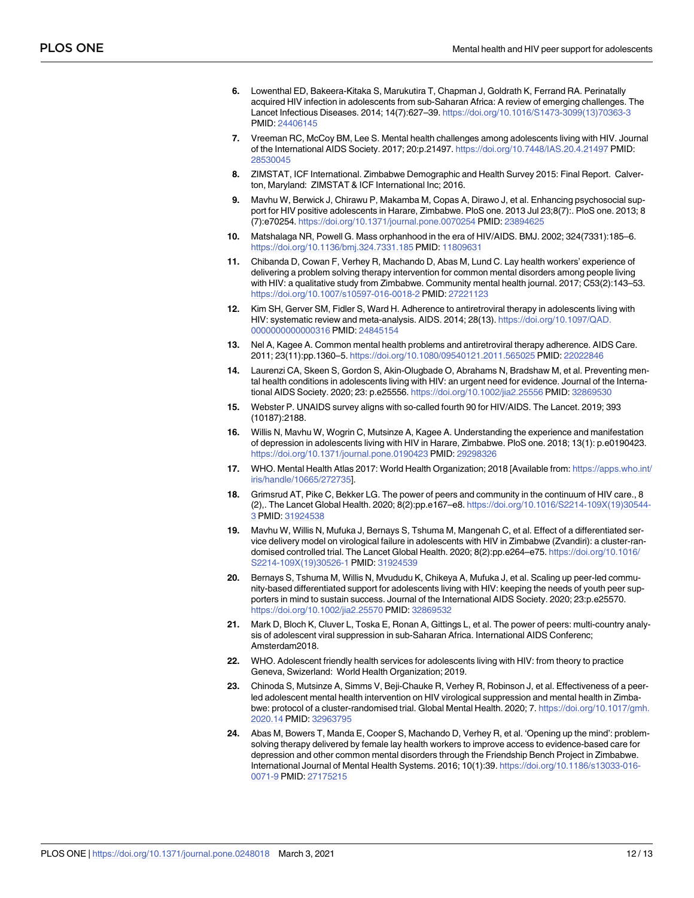- <span id="page-11-0"></span>**[6](#page-1-0).** Lowenthal ED, Bakeera-Kitaka S, Marukutira T, Chapman J, Goldrath K, Ferrand RA. Perinatally acquired HIV infection in adolescents from sub-Saharan Africa: A review of emerging challenges. The Lancet Infectious Diseases. 2014; 14(7):627–39. [https://doi.org/10.1016/S1473-3099\(13\)70363-3](https://doi.org/10.1016/S1473-3099%2813%2970363-3) PMID: [24406145](http://www.ncbi.nlm.nih.gov/pubmed/24406145)
- **[7](#page-1-0).** Vreeman RC, McCoy BM, Lee S. Mental health challenges among adolescents living with HIV. Journal of the International AIDS Society. 2017; 20:p.21497. <https://doi.org/10.7448/IAS.20.4.21497> PMID: [28530045](http://www.ncbi.nlm.nih.gov/pubmed/28530045)
- **[8](#page-1-0).** ZIMSTAT, ICF International. Zimbabwe Demographic and Health Survey 2015: Final Report. Calverton, Maryland: ZIMSTAT & ICF International Inc; 2016.
- **[9](#page-1-0).** Mavhu W, Berwick J, Chirawu P, Makamba M, Copas A, Dirawo J, et al. Enhancing psychosocial support for HIV positive adolescents in Harare, Zimbabwe. PloS one. 2013 Jul 23;8(7):. PloS one. 2013; 8 (7):e70254. <https://doi.org/10.1371/journal.pone.0070254> PMID: [23894625](http://www.ncbi.nlm.nih.gov/pubmed/23894625)
- **[10](#page-1-0).** Matshalaga NR, Powell G. Mass orphanhood in the era of HIV/AIDS. BMJ. 2002; 324(7331):185–6. <https://doi.org/10.1136/bmj.324.7331.185> PMID: [11809631](http://www.ncbi.nlm.nih.gov/pubmed/11809631)
- **[11](#page-1-0).** Chibanda D, Cowan F, Verhey R, Machando D, Abas M, Lund C. Lay health workers' experience of delivering a problem solving therapy intervention for common mental disorders among people living with HIV: a qualitative study from Zimbabwe. Community mental health journal. 2017; C53(2):143–53. <https://doi.org/10.1007/s10597-016-0018-2> PMID: [27221123](http://www.ncbi.nlm.nih.gov/pubmed/27221123)
- **12.** Kim SH, Gerver SM, Fidler S, Ward H. Adherence to antiretroviral therapy in adolescents living with HIV: systematic review and meta-analysis. AIDS. 2014; 28(13). [https://doi.org/10.1097/QAD.](https://doi.org/10.1097/QAD.0000000000000316) [0000000000000316](https://doi.org/10.1097/QAD.0000000000000316) PMID: [24845154](http://www.ncbi.nlm.nih.gov/pubmed/24845154)
- **[13](#page-1-0).** Nel A, Kagee A. Common mental health problems and antiretroviral therapy adherence. AIDS Care. 2011; 23(11):pp.1360–5. <https://doi.org/10.1080/09540121.2011.565025> PMID: [22022846](http://www.ncbi.nlm.nih.gov/pubmed/22022846)
- **[14](#page-1-0).** Laurenzi CA, Skeen S, Gordon S, Akin-Olugbade O, Abrahams N, Bradshaw M, et al. Preventing mental health conditions in adolescents living with HIV: an urgent need for evidence. Journal of the International AIDS Society. 2020; 23: p.e25556. <https://doi.org/10.1002/jia2.25556> PMID: [32869530](http://www.ncbi.nlm.nih.gov/pubmed/32869530)
- **15.** Webster P. UNAIDS survey aligns with so-called fourth 90 for HIV/AIDS. The Lancet. 2019; 393 (10187):2188.
- **[16](#page-1-0).** Willis N, Mavhu W, Wogrin C, Mutsinze A, Kagee A. Understanding the experience and manifestation of depression in adolescents living with HIV in Harare, Zimbabwe. PloS one. 2018; 13(1): p.e0190423. <https://doi.org/10.1371/journal.pone.0190423> PMID: [29298326](http://www.ncbi.nlm.nih.gov/pubmed/29298326)
- **[17](#page-1-0).** WHO. Mental Health Atlas 2017: World Health Organization; 2018 [Available from: [https://apps.who.int/](https://apps.who.int/iris/handle/10665/272735) [iris/handle/10665/272735\]](https://apps.who.int/iris/handle/10665/272735).
- **[18](#page-1-0).** Grimsrud AT, Pike C, Bekker LG. The power of peers and community in the continuum of HIV care., 8 (2),. The Lancet Global Health. 2020; 8(2):pp.e167–e8. [https://doi.org/10.1016/S2214-109X\(19\)30544-](https://doi.org/10.1016/S2214-109X%2819%2930544-3) [3](https://doi.org/10.1016/S2214-109X%2819%2930544-3) PMID: [31924538](http://www.ncbi.nlm.nih.gov/pubmed/31924538)
- **[19](#page-2-0).** Mavhu W, Willis N, Mufuka J, Bernays S, Tshuma M, Mangenah C, et al. Effect of a differentiated service delivery model on virological failure in adolescents with HIV in Zimbabwe (Zvandiri): a cluster-randomised controlled trial. The Lancet Global Health. 2020; 8(2):pp.e264–e75. [https://doi.org/10.1016/](https://doi.org/10.1016/S2214-109X%2819%2930526-1) [S2214-109X\(19\)30526-1](https://doi.org/10.1016/S2214-109X%2819%2930526-1) PMID: [31924539](http://www.ncbi.nlm.nih.gov/pubmed/31924539)
- **[20](#page-2-0).** Bernays S, Tshuma M, Willis N, Mvududu K, Chikeya A, Mufuka J, et al. Scaling up peer-led community-based differentiated support for adolescents living with HIV: keeping the needs of youth peer supporters in mind to sustain success. Journal of the International AIDS Society. 2020; 23:p.e25570. <https://doi.org/10.1002/jia2.25570> PMID: [32869532](http://www.ncbi.nlm.nih.gov/pubmed/32869532)
- **21.** Mark D, Bloch K, Cluver L, Toska E, Ronan A, Gittings L, et al. The power of peers: multi-country analysis of adolescent viral suppression in sub-Saharan Africa. International AIDS Conferenc; Amsterdam2018.
- **[22](#page-2-0).** WHO. Adolescent friendly health services for adolescents living with HIV: from theory to practice Geneva, Swizerland: World Health Organization; 2019.
- **[23](#page-2-0).** Chinoda S, Mutsinze A, Simms V, Beji-Chauke R, Verhey R, Robinson J, et al. Effectiveness of a peerled adolescent mental health intervention on HIV virological suppression and mental health in Zimbabwe: protocol of a cluster-randomised trial. Global Mental Health. 2020; 7. [https://doi.org/10.1017/gmh.](https://doi.org/10.1017/gmh.2020.14) [2020.14](https://doi.org/10.1017/gmh.2020.14) PMID: [32963795](http://www.ncbi.nlm.nih.gov/pubmed/32963795)
- **[24](#page-2-0).** Abas M, Bowers T, Manda E, Cooper S, Machando D, Verhey R, et al. 'Opening up the mind': problemsolving therapy delivered by female lay health workers to improve access to evidence-based care for depression and other common mental disorders through the Friendship Bench Project in Zimbabwe. International Journal of Mental Health Systems. 2016; 10(1):39. [https://doi.org/10.1186/s13033-016-](https://doi.org/10.1186/s13033-016-0071-9) [0071-9](https://doi.org/10.1186/s13033-016-0071-9) PMID: [27175215](http://www.ncbi.nlm.nih.gov/pubmed/27175215)